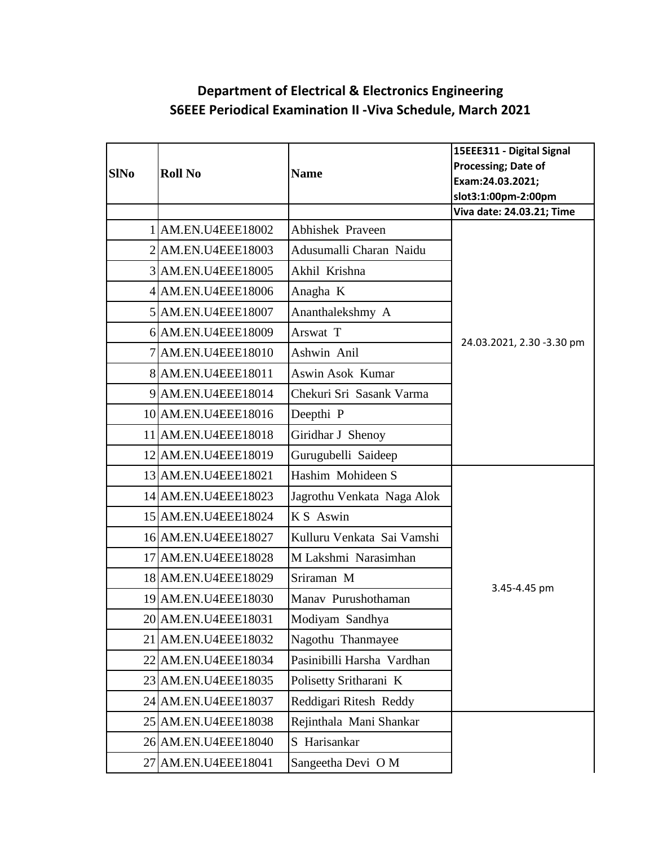## **Department of Electrical & Electronics Engineering S6EEE Periodical Examination II -Viva Schedule, March 2021**

|             |                     |                            | 15EEE311 - Digital Signal |
|-------------|---------------------|----------------------------|---------------------------|
| <b>SINo</b> | <b>Roll No</b>      | <b>Name</b>                | Processing; Date of       |
|             |                     |                            | Exam:24.03.2021;          |
|             |                     |                            | slot3:1:00pm-2:00pm       |
|             |                     |                            | Viva date: 24.03.21; Time |
|             | 1 AM.EN.U4EEE18002  | Abhishek Praveen           |                           |
|             | 2 AM.EN.U4EEE18003  | Adusumalli Charan Naidu    |                           |
|             | 3 AM.EN.U4EEE18005  | Akhil Krishna              |                           |
|             | 4 AM.EN.U4EEE18006  | Anagha K                   |                           |
|             | 5 AM.EN.U4EEE18007  | Ananthalekshmy A           |                           |
|             | 6 AM.EN.U4EEE18009  | Arswat T                   | 24.03.2021, 2.30 -3.30 pm |
| $\tau$      | AM.EN.U4EEE18010    | Ashwin Anil                |                           |
|             | 8 AM.EN.U4EEE18011  | Aswin Asok Kumar           |                           |
|             | 9 AM.EN.U4EEE18014  | Chekuri Sri Sasank Varma   |                           |
|             | 10 AM.EN.U4EEE18016 | Deepthi <sub>P</sub>       |                           |
|             | 11 AM.EN.U4EEE18018 | Giridhar J Shenoy          |                           |
|             | 12 AM.EN.U4EEE18019 | Gurugubelli Saideep        |                           |
|             | 13 AM.EN.U4EEE18021 | Hashim Mohideen S          |                           |
|             | 14 AM.EN.U4EEE18023 | Jagrothu Venkata Naga Alok |                           |
|             | 15 AM.EN.U4EEE18024 | K S Aswin                  |                           |
|             | 16 AM.EN.U4EEE18027 | Kulluru Venkata Sai Vamshi |                           |
|             | 17 AM.EN.U4EEE18028 | M Lakshmi Narasimhan       |                           |
|             | 18 AM.EN.U4EEE18029 | Sriraman M                 | 3.45-4.45 pm              |
|             | 19 AM.EN.U4EEE18030 | Manav Purushothaman        |                           |
|             | 20 AM.EN.U4EEE18031 | Modiyam Sandhya            |                           |
|             | 21 AM.EN.U4EEE18032 | Nagothu Thanmayee          |                           |
|             | 22 AM.EN.U4EEE18034 | Pasinibilli Harsha Vardhan |                           |
|             | 23 AM.EN.U4EEE18035 | Polisetty Sritharani K     |                           |
|             | 24 AM.EN.U4EEE18037 | Reddigari Ritesh Reddy     |                           |
|             | 25 AM.EN.U4EEE18038 | Rejinthala Mani Shankar    |                           |
|             | 26 AM.EN.U4EEE18040 | S Harisankar               |                           |
|             | 27 AM.EN.U4EEE18041 | Sangeetha Devi O M         |                           |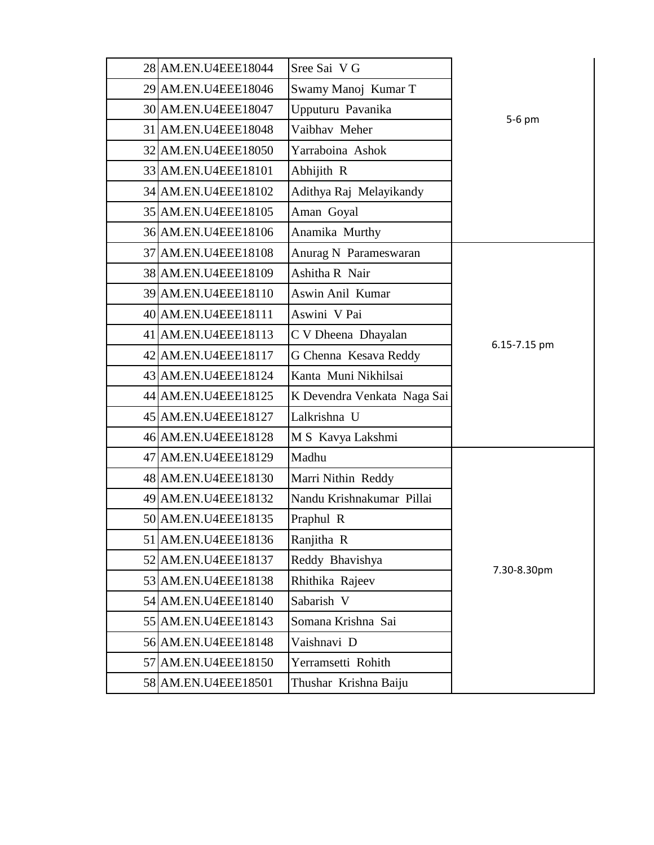| 28 AM.EN.U4EEE18044 | Sree Sai V G                |              |
|---------------------|-----------------------------|--------------|
| 29 AM.EN.U4EEE18046 | Swamy Manoj Kumar T         |              |
| 30 AM.EN.U4EEE18047 | Upputuru Pavanika           |              |
| 31 AM.EN.U4EEE18048 | Vaibhav Meher               | 5-6 pm       |
| 32 AM.EN.U4EEE18050 | Yarraboina Ashok            |              |
| 33 AM.EN.U4EEE18101 | Abhijith R                  |              |
| 34 AM.EN.U4EEE18102 | Adithya Raj Melayikandy     |              |
| 35 AM.EN.U4EEE18105 | Aman Goyal                  |              |
| 36 AM.EN.U4EEE18106 | Anamika Murthy              |              |
| 37 AM.EN.U4EEE18108 | Anurag N Parameswaran       |              |
| 38 AM.EN.U4EEE18109 | Ashitha R Nair              |              |
| 39 AM.EN.U4EEE18110 | Aswin Anil Kumar            |              |
| 40 AM.EN.U4EEE18111 | Aswini V Pai                |              |
| 41 AM.EN.U4EEE18113 | C V Dheena Dhayalan         |              |
| 42 AM.EN.U4EEE18117 | G Chenna Kesava Reddy       | 6.15-7.15 pm |
| 43 AM.EN.U4EEE18124 | Kanta Muni Nikhilsai        |              |
| 44 AM.EN.U4EEE18125 | K Devendra Venkata Naga Sai |              |
| 45 AM.EN.U4EEE18127 | Lalkrishna U                |              |
| 46 AM.EN.U4EEE18128 | M S Kavya Lakshmi           |              |
| 47 AM.EN.U4EEE18129 | Madhu                       |              |
| 48 AM.EN.U4EEE18130 | Marri Nithin Reddy          |              |
| 49 AM.EN.U4EEE18132 | Nandu Krishnakumar Pillai   |              |
| 50 AM.EN.U4EEE18135 | Praphul R                   |              |
| 51 AM.EN.U4EEE18136 | Ranjitha R                  |              |
| 52 AM.EN.U4EEE18137 | Reddy Bhavishya             | 7.30-8.30pm  |
| 53 AM.EN.U4EEE18138 | Rhithika Rajeev             |              |
| 54 AM.EN.U4EEE18140 | Sabarish V                  |              |
| 55 AM.EN.U4EEE18143 | Somana Krishna Sai          |              |
| 56 AM.EN.U4EEE18148 | Vaishnavi D                 |              |
| 57 AM.EN.U4EEE18150 | Yerramsetti Rohith          |              |
| 58 AM.EN.U4EEE18501 | Thushar Krishna Baiju       |              |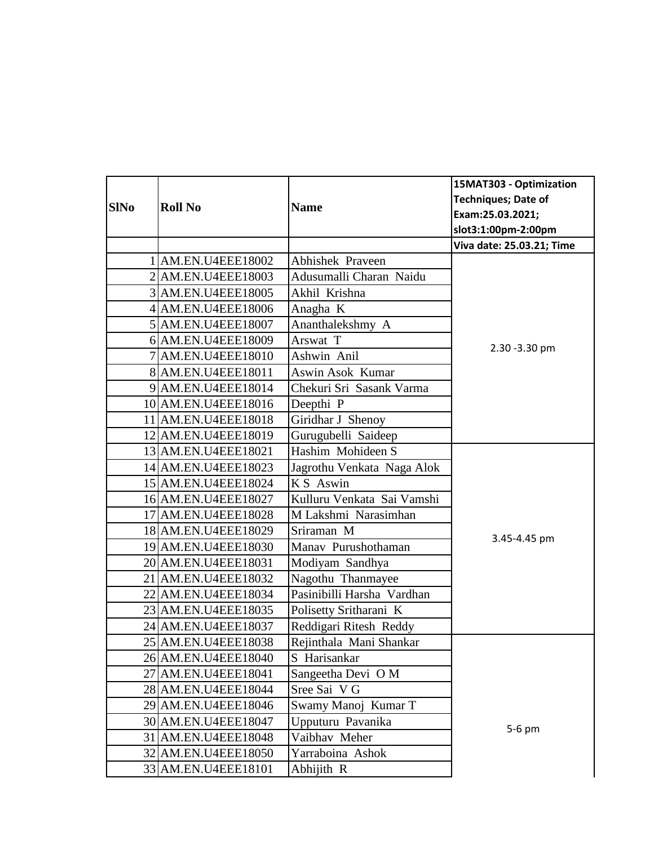|             |                     |                            | 15MAT303 - Optimization    |
|-------------|---------------------|----------------------------|----------------------------|
|             |                     |                            | <b>Techniques; Date of</b> |
| <b>SINo</b> | <b>Roll No</b>      | <b>Name</b>                | Exam:25.03.2021;           |
|             |                     |                            | slot3:1:00pm-2:00pm        |
|             |                     |                            | Viva date: 25.03.21; Time  |
|             | 1 AM.EN.U4EEE18002  | Abhishek Praveen           |                            |
|             | 2 AM.EN.U4EEE18003  | Adusumalli Charan Naidu    |                            |
|             | 3 AM.EN.U4EEE18005  | Akhil Krishna              |                            |
|             | 4 AM.EN.U4EEE18006  | Anagha K                   |                            |
|             | 5 AM.EN.U4EEE18007  | Ananthalekshmy A           |                            |
|             | 6 AM.EN.U4EEE18009  | Arswat T                   | 2.30 - 3.30 pm             |
|             | 7 AM.EN.U4EEE18010  | Ashwin Anil                |                            |
|             | 8 AM.EN.U4EEE18011  | Aswin Asok Kumar           |                            |
|             | 9 AM.EN.U4EEE18014  | Chekuri Sri Sasank Varma   |                            |
|             | 10 AM.EN.U4EEE18016 | Deepthi <sub>P</sub>       |                            |
|             | 11 AM.EN.U4EEE18018 | Giridhar J Shenoy          |                            |
|             | 12 AM.EN.U4EEE18019 | Gurugubelli Saideep        |                            |
|             | 13 AM.EN.U4EEE18021 | Hashim Mohideen S          |                            |
|             | 14 AM.EN.U4EEE18023 | Jagrothu Venkata Naga Alok |                            |
|             | 15 AM.EN.U4EEE18024 | KS Aswin                   |                            |
|             | 16 AM.EN.U4EEE18027 | Kulluru Venkata Sai Vamshi |                            |
|             | 17 AM.EN.U4EEE18028 | M Lakshmi Narasimhan       |                            |
|             | 18 AM.EN.U4EEE18029 | Sriraman M                 | 3.45-4.45 pm               |
|             | 19 AM.EN.U4EEE18030 | Manav Purushothaman        |                            |
|             | 20 AM.EN.U4EEE18031 | Modiyam Sandhya            |                            |
|             | 21 AM.EN.U4EEE18032 | Nagothu Thanmayee          |                            |
|             | 22 AM.EN.U4EEE18034 | Pasinibilli Harsha Vardhan |                            |
|             | 23 AM.EN.U4EEE18035 | Polisetty Sritharani K     |                            |
|             | 24 AM.EN.U4EEE18037 | Reddigari Ritesh Reddy     |                            |
|             | 25 AM.EN.U4EEE18038 | Rejinthala Mani Shankar    |                            |
|             | 26 AM.EN.U4EEE18040 | S Harisankar               |                            |
| 27          | AM.EN.U4EEE18041    | Sangeetha Devi O M         |                            |
|             | 28 AM.EN.U4EEE18044 | Sree Sai V G               |                            |
|             | 29 AM.EN.U4EEE18046 | Swamy Manoj Kumar T        |                            |
|             | 30 AM.EN.U4EEE18047 | Upputuru Pavanika          | 5-6 pm                     |
|             | 31 AM.EN.U4EEE18048 | Vaibhav Meher              |                            |
|             | 32 AM.EN.U4EEE18050 | Yarraboina Ashok           |                            |
|             | 33 AM.EN.U4EEE18101 | Abhijith R                 |                            |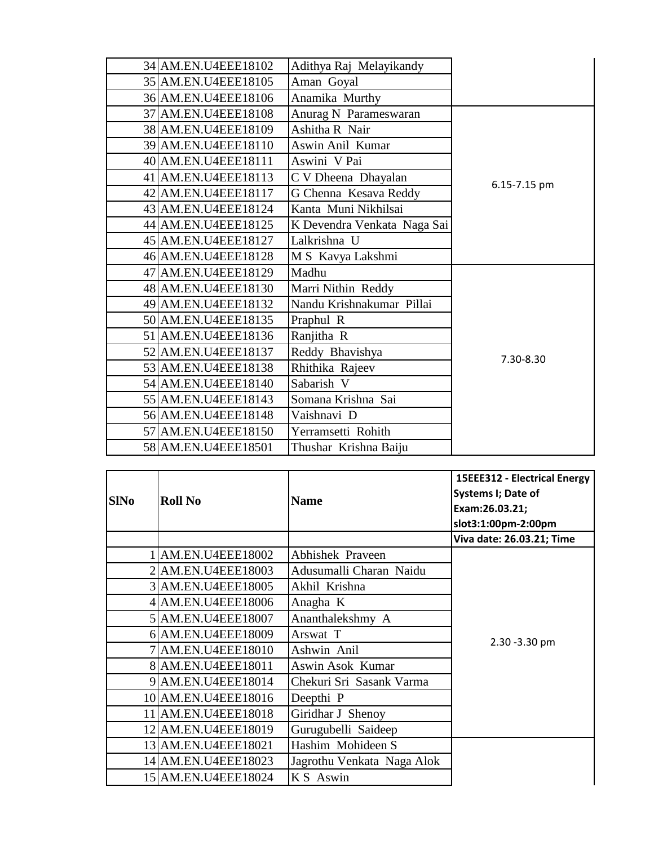| 34 AM.EN.U4EEE18102 | Adithya Raj Melayikandy     |              |
|---------------------|-----------------------------|--------------|
| 35 AM.EN.U4EEE18105 | Aman Goyal                  |              |
| 36 AM.EN.U4EEE18106 | Anamika Murthy              |              |
| 37 AM.EN.U4EEE18108 | Anurag N Parameswaran       |              |
| 38 AM.EN.U4EEE18109 | Ashitha R Nair              |              |
| 39 AM.EN.U4EEE18110 | Aswin Anil Kumar            |              |
| 40 AM.EN.U4EEE18111 | Aswini V Pai                |              |
| 41 AM.EN.U4EEE18113 | C V Dheena Dhayalan         | 6.15-7.15 pm |
| 42 AM.EN.U4EEE18117 | G Chenna Kesava Reddy       |              |
| 43 AM.EN.U4EEE18124 | Kanta Muni Nikhilsai        |              |
| 44 AM.EN.U4EEE18125 | K Devendra Venkata Naga Sai |              |
| 45 AM.EN.U4EEE18127 | Lalkrishna U                |              |
| 46 AM.EN.U4EEE18128 | M S Kavya Lakshmi           |              |
| 47 AM.EN.U4EEE18129 | Madhu                       |              |
| 48 AM.EN.U4EEE18130 | Marri Nithin Reddy          |              |
| 49 AM.EN.U4EEE18132 | Nandu Krishnakumar Pillai   |              |
| 50 AM.EN.U4EEE18135 | Praphul R                   |              |
| 51 AM.EN.U4EEE18136 | Ranjitha R                  |              |
| 52 AM.EN.U4EEE18137 | Reddy Bhavishya             | 7.30-8.30    |
| 53 AM.EN.U4EEE18138 | Rhithika Rajeev             |              |
| 54 AM.EN.U4EEE18140 | Sabarish V                  |              |
| 55 AM.EN.U4EEE18143 | Somana Krishna Sai          |              |
| 56 AM.EN.U4EEE18148 | Vaishnavi D                 |              |
| 57 AM.EN.U4EEE18150 | Yerramsetti Rohith          |              |
| 58 AM.EN.U4EEE18501 | Thushar Krishna Baiju       |              |

| <b>SINo</b> | <b>Roll No</b>      | <b>Name</b>                | 15EEE312 - Electrical Energy<br>Systems I; Date of<br>Exam:26.03.21;<br>slot3:1:00pm-2:00pm |
|-------------|---------------------|----------------------------|---------------------------------------------------------------------------------------------|
|             |                     |                            | Viva date: 26.03.21; Time                                                                   |
|             | 1 AM.EN.U4EEE18002  | <b>Abhishek Praveen</b>    |                                                                                             |
|             | AM.EN.U4EEE18003    | Adusumalli Charan Naidu    |                                                                                             |
|             | 3 AM.EN.U4EEE18005  | Akhil Krishna              |                                                                                             |
|             | 4 AM.EN.U4EEE18006  | Anagha K                   |                                                                                             |
|             | 5 AM.EN.U4EEE18007  | Ananthalekshmy A           | 2.30 - 3.30 pm                                                                              |
|             | 6 AM.EN.U4EEE18009  | Arswat T                   |                                                                                             |
|             | AM.EN.U4EEE18010    | Ashwin Anil                |                                                                                             |
|             | 8 AM.EN.U4EEE18011  | Aswin Asok Kumar           |                                                                                             |
| 9           | AM.EN.U4EEE18014    | Chekuri Sri Sasank Varma   |                                                                                             |
|             | 10 AM.EN.U4EEE18016 | Deepthi <sub>P</sub>       |                                                                                             |
|             | 11 AM.EN.U4EEE18018 | Giridhar J Shenoy          |                                                                                             |
|             | 12 AM.EN.U4EEE18019 | Gurugubelli Saideep        |                                                                                             |
|             | 13 AM.EN.U4EEE18021 | Hashim Mohideen S          |                                                                                             |
|             | 14 AM.EN.U4EEE18023 | Jagrothu Venkata Naga Alok |                                                                                             |
|             | 15 AM.EN.U4EEE18024 | KS Aswin                   |                                                                                             |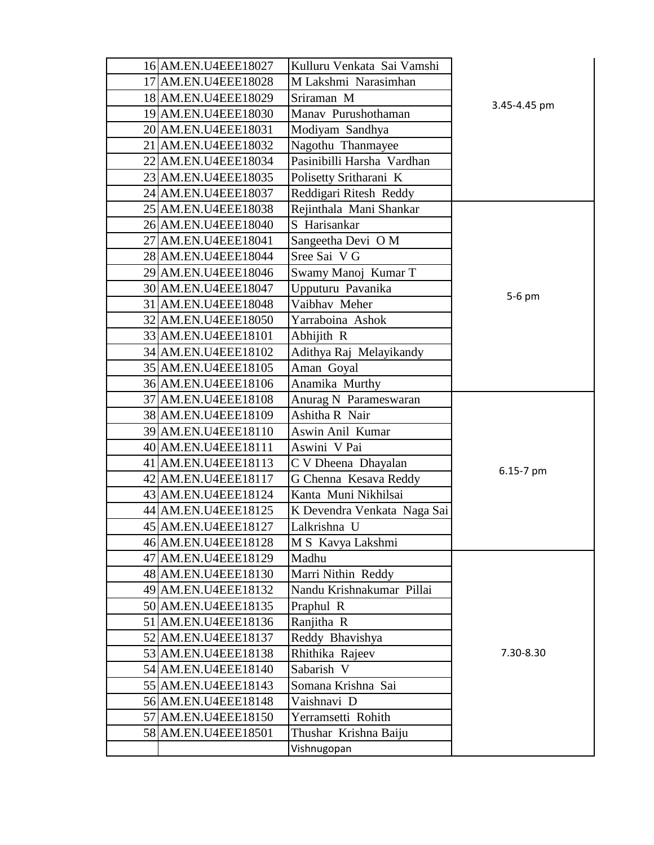| 16 AM.EN.U4EEE18027 | Kulluru Venkata Sai Vamshi  |              |
|---------------------|-----------------------------|--------------|
| 17 AM.EN.U4EEE18028 | M Lakshmi Narasimhan        |              |
| 18 AM.EN.U4EEE18029 | Sriraman M                  |              |
| 19 AM.EN.U4EEE18030 | Manav Purushothaman         | 3.45-4.45 pm |
| 20 AM.EN.U4EEE18031 | Modiyam Sandhya             |              |
| 21 AM.EN.U4EEE18032 | Nagothu Thanmayee           |              |
| 22 AM.EN.U4EEE18034 | Pasinibilli Harsha Vardhan  |              |
| 23 AM.EN.U4EEE18035 | Polisetty Sritharani K      |              |
| 24 AM.EN.U4EEE18037 | Reddigari Ritesh Reddy      |              |
| 25 AM.EN.U4EEE18038 | Rejinthala Mani Shankar     |              |
| 26 AM.EN.U4EEE18040 | S Harisankar                |              |
| 27 AM.EN.U4EEE18041 | Sangeetha Devi O M          |              |
| 28 AM.EN.U4EEE18044 | Sree Sai V G                |              |
| 29 AM.EN.U4EEE18046 | Swamy Manoj Kumar T         |              |
| 30 AM.EN.U4EEE18047 | Upputuru Pavanika           |              |
| 31 AM.EN.U4EEE18048 | Vaibhav Meher               | 5-6 pm       |
| 32 AM.EN.U4EEE18050 | Yarraboina Ashok            |              |
| 33 AM.EN.U4EEE18101 | Abhijith R                  |              |
| 34 AM.EN.U4EEE18102 | Adithya Raj Melayikandy     |              |
| 35 AM.EN.U4EEE18105 | Aman Goyal                  |              |
| 36 AM.EN.U4EEE18106 | Anamika Murthy              |              |
| 37 AM.EN.U4EEE18108 | Anurag N Parameswaran       |              |
| 38 AM.EN.U4EEE18109 | Ashitha R Nair              |              |
| 39 AM.EN.U4EEE18110 | Aswin Anil Kumar            |              |
| 40 AM.EN.U4EEE18111 | Aswini V Pai                |              |
| 41 AM.EN.U4EEE18113 | C V Dheena Dhayalan         |              |
| 42 AM.EN.U4EEE18117 | G Chenna Kesava Reddy       | 6.15-7 pm    |
| 43 AM.EN.U4EEE18124 | Kanta Muni Nikhilsai        |              |
| 44 AM.EN.U4EEE18125 | K Devendra Venkata Naga Sai |              |
| 45 AM.EN.U4EEE18127 | Lalkrishna U                |              |
| 46 AM.EN.U4EEE18128 | M S Kavya Lakshmi           |              |
| 47 AM.EN.U4EEE18129 | Madhu                       |              |
| 48 AM.EN.U4EEE18130 | Marri Nithin Reddy          |              |
| 49 AM.EN.U4EEE18132 | Nandu Krishnakumar Pillai   |              |
| 50 AM.EN.U4EEE18135 | Praphul R                   |              |
| 51 AM.EN.U4EEE18136 | Ranjitha R                  |              |
| 52 AM.EN.U4EEE18137 | Reddy Bhavishya             |              |
| 53 AM.EN.U4EEE18138 | Rhithika Rajeev             | 7.30-8.30    |
| 54 AM.EN.U4EEE18140 | Sabarish V                  |              |
| 55 AM.EN.U4EEE18143 | Somana Krishna Sai          |              |
| 56 AM.EN.U4EEE18148 | Vaishnavi D                 |              |
| 57 AM.EN.U4EEE18150 | Yerramsetti Rohith          |              |
| 58 AM.EN.U4EEE18501 | Thushar Krishna Baiju       |              |
|                     | Vishnugopan                 |              |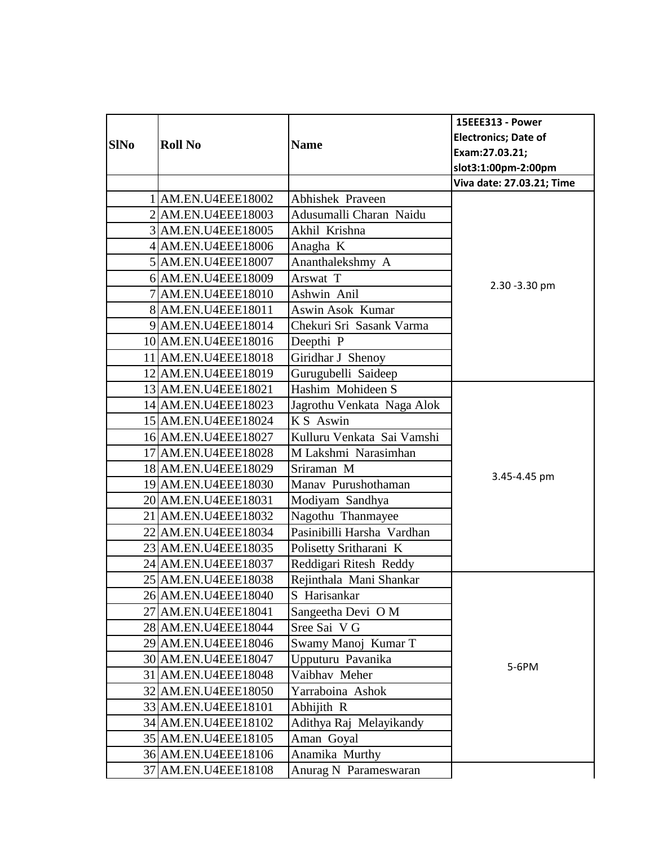|             |                     |                            | 15EEE313 - Power            |
|-------------|---------------------|----------------------------|-----------------------------|
|             |                     |                            | <b>Electronics; Date of</b> |
| <b>SINo</b> | <b>Roll No</b>      | <b>Name</b>                | Exam:27.03.21;              |
|             |                     |                            | slot3:1:00pm-2:00pm         |
|             |                     |                            | Viva date: 27.03.21; Time   |
|             | 1 AM.EN.U4EEE18002  | <b>Abhishek Praveen</b>    |                             |
|             | 2 AM.EN.U4EEE18003  | Adusumalli Charan Naidu    |                             |
|             | 3 AM.EN.U4EEE18005  | Akhil Krishna              |                             |
|             | 4 AM.EN.U4EEE18006  | Anagha K                   |                             |
|             | 5 AM.EN.U4EEE18007  | Ananthalekshmy A           |                             |
|             | 6 AM.EN.U4EEE18009  | Arswat T                   | 2.30 - 3.30 pm              |
|             | 7 AM.EN.U4EEE18010  | Ashwin Anil                |                             |
|             | 8 AM.EN.U4EEE18011  | Aswin Asok Kumar           |                             |
|             | 9 AM.EN.U4EEE18014  | Chekuri Sri Sasank Varma   |                             |
|             | 10 AM.EN.U4EEE18016 | Deepthi <sub>P</sub>       |                             |
|             | 11 AM.EN.U4EEE18018 | Giridhar J Shenoy          |                             |
|             | 12 AM.EN.U4EEE18019 | Gurugubelli Saideep        |                             |
|             | 13 AM.EN.U4EEE18021 | Hashim Mohideen S          |                             |
|             | 14 AM.EN.U4EEE18023 | Jagrothu Venkata Naga Alok |                             |
|             | 15 AM.EN.U4EEE18024 | KS Aswin                   |                             |
|             | 16 AM.EN.U4EEE18027 | Kulluru Venkata Sai Vamshi | 3.45-4.45 pm                |
|             | 17 AM.EN.U4EEE18028 | M Lakshmi Narasimhan       |                             |
|             | 18 AM.EN.U4EEE18029 | Sriraman M                 |                             |
|             | 19 AM.EN.U4EEE18030 | Manav Purushothaman        |                             |
|             | 20 AM.EN.U4EEE18031 | Modiyam Sandhya            |                             |
|             | 21 AM.EN.U4EEE18032 | Nagothu Thanmayee          |                             |
|             | 22 AM.EN.U4EEE18034 | Pasinibilli Harsha Vardhan |                             |
|             | 23 AM.EN.U4EEE18035 | Polisetty Sritharani K     |                             |
|             | 24 AM.EN.U4EEE18037 | Reddigari Ritesh Reddy     |                             |
|             | 25 AM.EN.U4EEE18038 | Rejinthala Mani Shankar    |                             |
|             | 26 AM.EN.U4EEE18040 | S Harisankar               |                             |
|             | 27 AM.EN.U4EEE18041 | Sangeetha Devi O M         |                             |
|             | 28 AM.EN.U4EEE18044 | Sree Sai V G               |                             |
|             | 29 AM.EN.U4EEE18046 | Swamy Manoj Kumar T        |                             |
|             | 30 AM.EN.U4EEE18047 | Upputuru Pavanika          | 5-6PM                       |
|             | 31 AM.EN.U4EEE18048 | Vaibhav Meher              |                             |
|             | 32 AM.EN.U4EEE18050 | Yarraboina Ashok           |                             |
|             | 33 AM.EN.U4EEE18101 | Abhijith R                 |                             |
|             | 34 AM.EN.U4EEE18102 | Adithya Raj Melayikandy    |                             |
|             | 35 AM.EN.U4EEE18105 | Aman Goyal                 |                             |
|             | 36 AM.EN.U4EEE18106 | Anamika Murthy             |                             |
|             | 37 AM.EN.U4EEE18108 | Anurag N Parameswaran      |                             |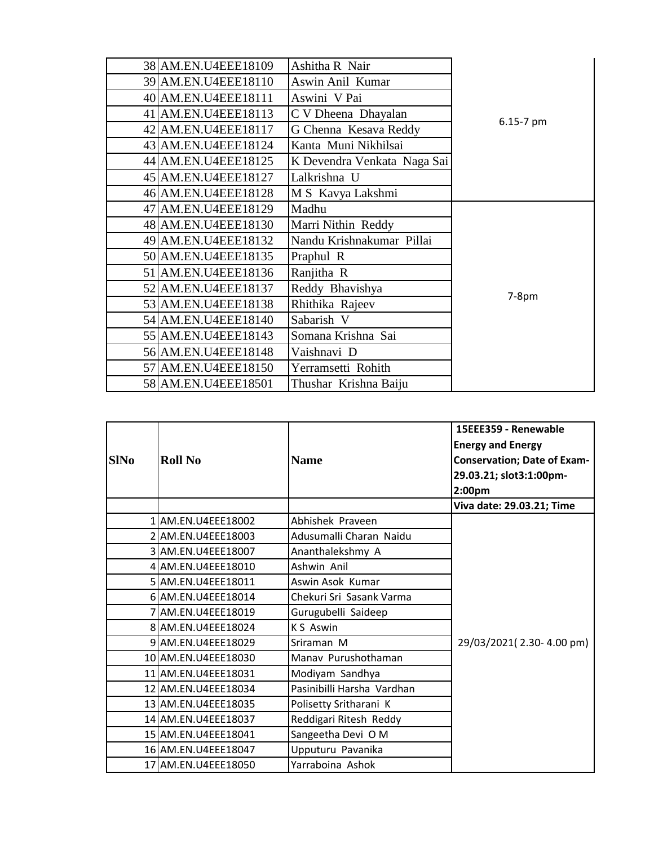| 38 AM.EN.U4EEE18109 | Ashitha R Nair              |           |
|---------------------|-----------------------------|-----------|
| 39 AM.EN.U4EEE18110 | Aswin Anil Kumar            |           |
| 40 AM.EN.U4EEE18111 | Aswini V Pai                |           |
| 41 AM.EN.U4EEE18113 | C V Dheena Dhayalan         | 6.15-7 pm |
| 42 AM.EN.U4EEE18117 | G Chenna Kesava Reddy       |           |
| 43 AM.EN.U4EEE18124 | Kanta Muni Nikhilsai        |           |
| 44 AM.EN.U4EEE18125 | K Devendra Venkata Naga Sai |           |
| 45 AM.EN.U4EEE18127 | Lalkrishna U                |           |
| 46 AM.EN.U4EEE18128 | M S Kavya Lakshmi           |           |
| 47 AM.EN.U4EEE18129 | Madhu                       |           |
| 48 AM.EN.U4EEE18130 | Marri Nithin Reddy          |           |
| 49 AM.EN.U4EEE18132 | Nandu Krishnakumar Pillai   |           |
| 50 AM.EN.U4EEE18135 | Praphul R                   |           |
| 51 AM.EN.U4EEE18136 | Ranjitha R                  |           |
| 52 AM.EN.U4EEE18137 | Reddy Bhavishya             | $7-8pm$   |
| 53 AM.EN.U4EEE18138 | Rhithika Rajeev             |           |
| 54 AM.EN.U4EEE18140 | Sabarish V                  |           |
| 55 AM.EN.U4EEE18143 | Somana Krishna Sai          |           |
| 56 AM.EN.U4EEE18148 | Vaishnavi D                 |           |
| 57 AM.EN.U4EEE18150 | Yerramsetti Rohith          |           |
| 58 AM.EN.U4EEE18501 | Thushar Krishna Baiju       |           |

|             |                     |                            | 15EEE359 - Renewable               |
|-------------|---------------------|----------------------------|------------------------------------|
|             |                     |                            | <b>Energy and Energy</b>           |
| <b>SINo</b> | <b>Roll No</b>      | <b>Name</b>                | <b>Conservation; Date of Exam-</b> |
|             |                     |                            | 29.03.21; slot3:1:00pm-            |
|             |                     |                            | 2:00pm                             |
|             |                     |                            | Viva date: 29.03.21; Time          |
|             | 1 AM.EN.U4EEE18002  | Abhishek Praveen           |                                    |
|             | 2 AM.EN.U4EEE18003  | Adusumalli Charan Naidu    |                                    |
|             | 3 AM.EN.U4EEE18007  | Ananthalekshmy A           |                                    |
|             | 4 AM.EN.U4EEE18010  | Ashwin Anil                |                                    |
|             | 5 AM.EN.U4EEE18011  | Aswin Asok Kumar           |                                    |
|             | 6 AM.EN.U4EEE18014  | Chekuri Sri Sasank Varma   |                                    |
|             | 7 AM.EN.U4EEE18019  | Gurugubelli Saideep        |                                    |
|             | 8 AM.EN.U4EEE18024  | K S Aswin                  |                                    |
|             | 9 AM.EN.U4EEE18029  | Sriraman M                 | 29/03/2021(2.30-4.00 pm)           |
|             | 10 AM.EN.U4EEE18030 | Manav Purushothaman        |                                    |
|             | 11 AM.EN.U4EEE18031 | Modiyam Sandhya            |                                    |
|             | 12 AM.EN.U4EEE18034 | Pasinibilli Harsha Vardhan |                                    |
|             | 13 AM.EN.U4EEE18035 | Polisetty Sritharani K     |                                    |
|             | 14 AM.EN.U4EEE18037 | Reddigari Ritesh Reddy     |                                    |
|             | 15 AM.EN.U4EEE18041 | Sangeetha Devi O M         |                                    |
|             | 16 AM.EN.U4EEE18047 | Upputuru Pavanika          |                                    |
|             | 17 AM.EN.U4EEE18050 | Yarraboina Ashok           |                                    |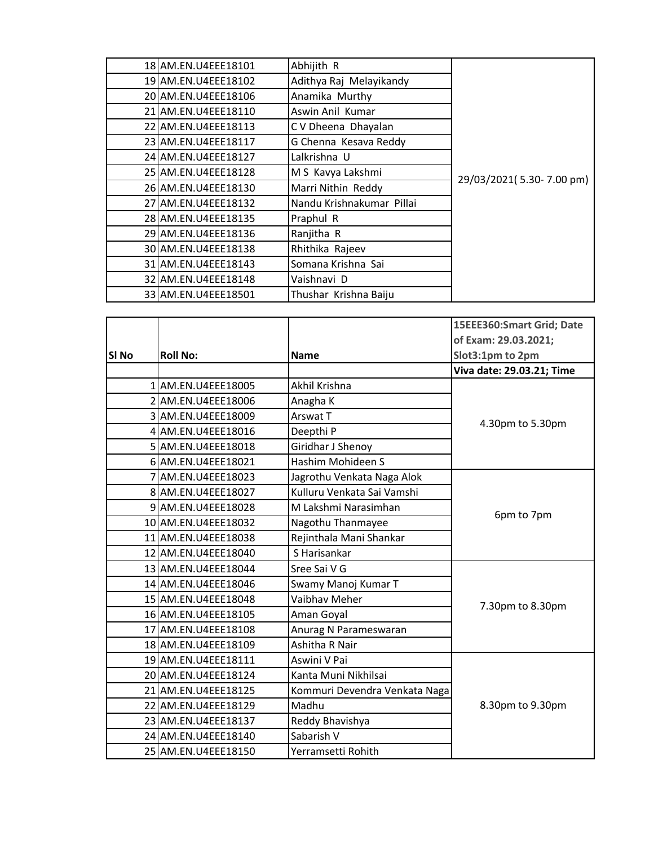| 18 AM.EN.U4EEE18101 | Abhijith R                |                          |
|---------------------|---------------------------|--------------------------|
| 19 AM.EN.U4EEE18102 | Adithya Raj Melayikandy   |                          |
| 20 AM.EN.U4EEE18106 | Anamika Murthy            |                          |
| 21 AM.EN.U4EEE18110 | Aswin Anil Kumar          |                          |
| 22 AM.EN.U4EEE18113 | C V Dheena Dhayalan       |                          |
| 23 AM.EN.U4EEE18117 | G Chenna Kesava Reddy     |                          |
| 24 AM.EN.U4EEE18127 | Lalkrishna U              |                          |
| 25 AM.EN.U4EEE18128 | M S Kavya Lakshmi         | 29/03/2021(5.30-7.00 pm) |
| 26 AM.EN.U4EEE18130 | Marri Nithin Reddy        |                          |
| 27 AM.EN.U4EEE18132 | Nandu Krishnakumar Pillai |                          |
| 28 AM.EN.U4EEE18135 | Praphul R                 |                          |
| 29 AM.EN.U4EEE18136 | Ranjitha R                |                          |
| 30 AM.EN.U4EEE18138 | Rhithika Rajeev           |                          |
| 31 AM.EN.U4EEE18143 | Somana Krishna Sai        |                          |
| 32 AM.EN.U4EEE18148 | Vaishnavi D               |                          |
| 33 AM.EN.U4EEE18501 | Thushar Krishna Baiju     |                          |

|       |                     |                               | 15EEE360:Smart Grid; Date |
|-------|---------------------|-------------------------------|---------------------------|
|       |                     |                               | of Exam: 29.03.2021;      |
| SI No | <b>Roll No:</b>     | <b>Name</b>                   | Slot3:1pm to 2pm          |
|       |                     |                               | Viva date: 29.03.21; Time |
|       | 1 AM.EN.U4EEE18005  | Akhil Krishna                 |                           |
|       | 2 AM.EN.U4EEE18006  | Anagha K                      |                           |
|       | 3 AM.EN.U4EEE18009  | Arswat T                      | 4.30pm to 5.30pm          |
|       | 4 AM.EN.U4EEE18016  | Deepthi P                     |                           |
|       | 5 AM.EN.U4EEE18018  | Giridhar J Shenoy             |                           |
|       | 6 AM.EN.U4EEE18021  | Hashim Mohideen S             |                           |
|       | AM.EN.U4EEE18023    | Jagrothu Venkata Naga Alok    |                           |
|       | 8 AM.EN.U4EEE18027  | Kulluru Venkata Sai Vamshi    |                           |
|       | 9 AM.EN.U4EEE18028  | M Lakshmi Narasimhan          | 6pm to 7pm                |
|       | 10 AM.EN.U4EEE18032 | Nagothu Thanmayee             |                           |
|       | 11 AM.EN.U4EEE18038 | Rejinthala Mani Shankar       |                           |
|       | 12 AM.EN.U4EEE18040 | S Harisankar                  |                           |
|       | 13 AM.EN.U4EEE18044 | Sree Sai V G                  |                           |
|       | 14 AM.EN.U4EEE18046 | Swamy Manoj Kumar T           |                           |
|       | 15 AM.EN.U4EEE18048 | Vaibhav Meher                 | 7.30pm to 8.30pm          |
|       | 16 AM.EN.U4EEE18105 | Aman Goyal                    |                           |
|       | 17 AM.EN.U4EEE18108 | Anurag N Parameswaran         |                           |
|       | 18 AM.EN.U4EEE18109 | Ashitha R Nair                |                           |
|       | 19 AM.EN.U4EEE18111 | Aswini V Pai                  |                           |
|       | 20 AM.EN.U4EEE18124 | Kanta Muni Nikhilsai          |                           |
|       | 21 AM.EN.U4EEE18125 | Kommuri Devendra Venkata Naga |                           |
|       | 22 AM.EN.U4EEE18129 | Madhu                         | 8.30pm to 9.30pm          |
|       | 23 AM.EN.U4EEE18137 | Reddy Bhavishya               |                           |
|       | 24 AM.EN.U4EEE18140 | Sabarish V                    |                           |
|       | 25 AM.EN.U4EEE18150 | Yerramsetti Rohith            |                           |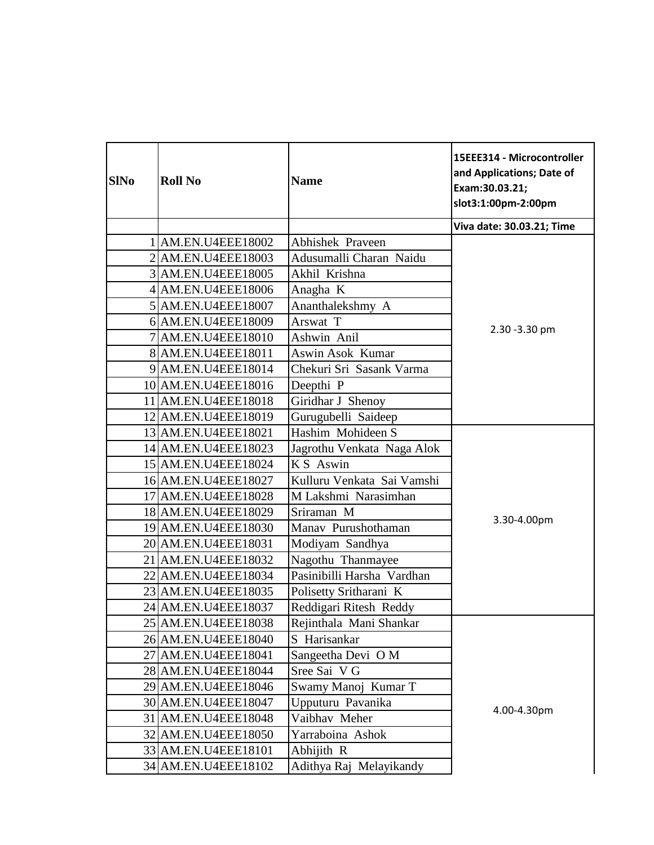| <b>SINo</b> | <b>Roll No</b>      | <b>Name</b>                | 15EEE314 - Microcontroller<br>and Applications; Date of<br>Exam:30.03.21;<br>slot3:1:00pm-2:00pm |
|-------------|---------------------|----------------------------|--------------------------------------------------------------------------------------------------|
|             |                     |                            | Viva date: 30.03.21; Time                                                                        |
|             | AM.EN.U4EEE18002    | <b>Abhishek Praveen</b>    |                                                                                                  |
|             | 2 AM.EN.U4EEE18003  | Adusumalli Charan Naidu    |                                                                                                  |
|             | 3 AM.EN.U4EEE18005  | Akhil Krishna              |                                                                                                  |
|             | 4 AM.EN.U4EEE18006  | Anagha K                   |                                                                                                  |
|             | 5 AM.EN.U4EEE18007  | Ananthalekshmy A           |                                                                                                  |
|             | 6 AM.EN.U4EEE18009  | Arswat T                   | 2.30 - 3.30 pm                                                                                   |
|             | 7 AM.EN.U4EEE18010  | Ashwin Anil                |                                                                                                  |
|             | 8 AM.EN.U4EEE18011  | Aswin Asok Kumar           |                                                                                                  |
|             | 9 AM.EN.U4EEE18014  | Chekuri Sri Sasank Varma   |                                                                                                  |
|             | 10 AM.EN.U4EEE18016 | Deepthi <sub>P</sub>       |                                                                                                  |
|             | 11 AM.EN.U4EEE18018 | Giridhar J Shenoy          |                                                                                                  |
|             | 12 AM.EN.U4EEE18019 | Gurugubelli Saideep        |                                                                                                  |
|             | 13 AM.EN.U4EEE18021 | Hashim Mohideen S          |                                                                                                  |
|             | 14 AM.EN.U4EEE18023 | Jagrothu Venkata Naga Alok |                                                                                                  |
|             | 15 AM.EN.U4EEE18024 | K S Aswin                  |                                                                                                  |
|             | 16 AM.EN.U4EEE18027 | Kulluru Venkata Sai Vamshi |                                                                                                  |
|             | 17 AM.EN.U4EEE18028 | M Lakshmi Narasimhan       |                                                                                                  |
|             | 18 AM.EN.U4EEE18029 | Sriraman M                 | 3.30-4.00pm                                                                                      |
|             | 19 AM.EN.U4EEE18030 | Manav Purushothaman        |                                                                                                  |
|             | 20 AM.EN.U4EEE18031 | Modiyam Sandhya            |                                                                                                  |
|             | 21 AM.EN.U4EEE18032 | Nagothu Thanmayee          |                                                                                                  |
| 22          | AM.EN.U4EEE18034    | Pasinibilli Harsha Vardhan |                                                                                                  |
|             | 23 AM.EN.U4EEE18035 | Polisetty Sritharani K     |                                                                                                  |
|             | 24 AM.EN.U4EEE18037 | Reddigari Ritesh Reddy     |                                                                                                  |
|             | 25 AM.EN.U4EEE18038 | Rejinthala Mani Shankar    |                                                                                                  |
|             | 26 AM.EN.U4EEE18040 | S Harisankar               |                                                                                                  |
|             | 27 AM.EN.U4EEE18041 | Sangeetha Devi O M         |                                                                                                  |
|             | 28 AM.EN.U4EEE18044 | Sree Sai V G               |                                                                                                  |
|             | 29 AM.EN.U4EEE18046 | Swamy Manoj Kumar T        |                                                                                                  |
|             | 30 AM.EN.U4EEE18047 | Upputuru Pavanika          | 4.00-4.30pm                                                                                      |
|             | 31 AM.EN.U4EEE18048 | Vaibhav Meher              |                                                                                                  |
|             | 32 AM.EN.U4EEE18050 | Yarraboina Ashok           |                                                                                                  |
|             | 33 AM.EN.U4EEE18101 | Abhijith R                 |                                                                                                  |
|             | 34 AM.EN.U4EEE18102 | Adithya Raj Melayikandy    |                                                                                                  |